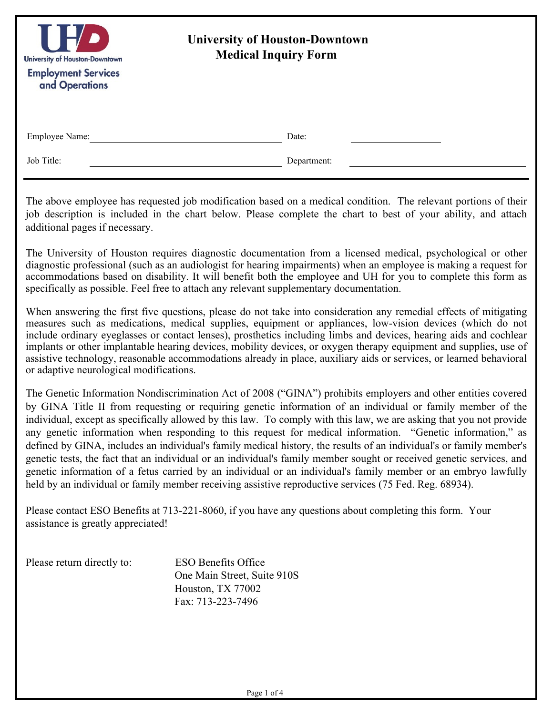| $\mathbf{H}$<br>University of Houston-Downtown<br><b>Employment Services</b><br>and Operations | <b>University of Houston-Downtown</b><br><b>Medical Inquiry Form</b> |  |
|------------------------------------------------------------------------------------------------|----------------------------------------------------------------------|--|
| Employee Name:                                                                                 | Date:                                                                |  |
| Job Title:                                                                                     | Department:                                                          |  |

The above employee has requested job modification based on a medical condition. The relevant portions of their job description is included in the chart below. Please complete the chart to best of your ability, and attach additional pages if necessary.

The University of Houston requires diagnostic documentation from a licensed medical, psychological or other diagnostic professional (such as an audiologist for hearing impairments) when an employee is making a request for accommodations based on disability. It will benefit both the employee and UH for you to complete this form as specifically as possible. Feel free to attach any relevant supplementary documentation.

When answering the first five questions, please do not take into consideration any remedial effects of mitigating measures such as medications, medical supplies, equipment or appliances, low-vision devices (which do not include ordinary eyeglasses or contact lenses), prosthetics including limbs and devices, hearing aids and cochlear implants or other implantable hearing devices, mobility devices, or oxygen therapy equipment and supplies, use of assistive technology, reasonable accommodations already in place, auxiliary aids or services, or learned behavioral or adaptive neurological modifications.

The Genetic Information Nondiscrimination Act of 2008 ("GINA") prohibits employers and other entities covered by GINA Title II from requesting or requiring genetic information of an individual or family member of the individual, except as specifically allowed by this law. To comply with this law, we are asking that you not provide any genetic information when responding to this request for medical information. "Genetic information," as defined by GINA, includes an individual's family medical history, the results of an individual's or family member's genetic tests, the fact that an individual or an individual's family member sought or received genetic services, and genetic information of a fetus carried by an individual or an individual's family member or an embryo lawfully held by an individual or family member receiving assistive reproductive services (75 Fed. Reg. 68934).

Please contact ESO Benefits at 713-221-8060, if you have any questions about completing this form. Your assistance is greatly appreciated!

Please return directly to: ESO Benefits Office

 One Main Street, Suite 910S Houston, TX 77002 Fax: 713-223-7496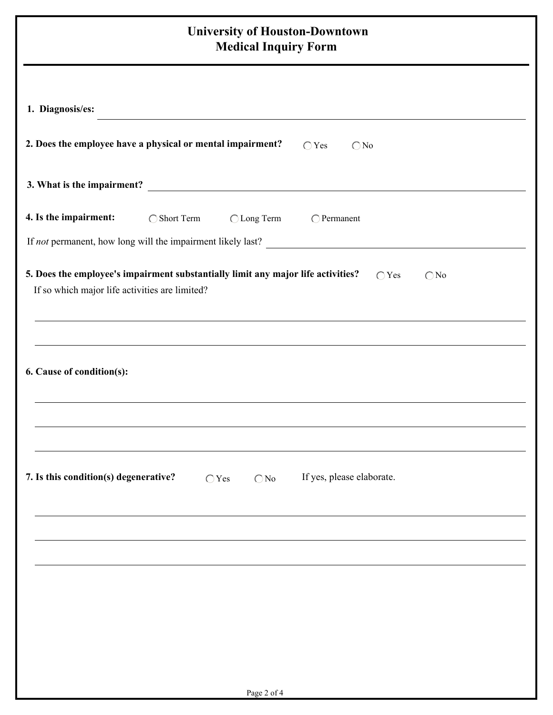| <b>University of Houston-Downtown</b><br><b>Medical Inquiry Form</b>                                                                                                  |  |  |  |  |
|-----------------------------------------------------------------------------------------------------------------------------------------------------------------------|--|--|--|--|
| 1. Diagnosis/es:<br>the control of the control of the control of the control of the control of                                                                        |  |  |  |  |
| 2. Does the employee have a physical or mental impairment?<br>$\bigcirc$ Yes<br>$\bigcirc$ No                                                                         |  |  |  |  |
|                                                                                                                                                                       |  |  |  |  |
| 4. Is the impairment:<br>◯ Short Term<br>◯ Long Term<br>$\bigcirc$ Permanent<br>If not permanent, how long will the impairment likely last?                           |  |  |  |  |
| 5. Does the employee's impairment substantially limit any major life activities?<br>$\bigcirc$ Yes<br>$\bigcirc$ No<br>If so which major life activities are limited? |  |  |  |  |
| 6. Cause of condition(s):                                                                                                                                             |  |  |  |  |
| 7. Is this condition(s) degenerative?<br>If yes, please elaborate.<br>$\bigcirc$ Yes<br>$\bigcirc$ No                                                                 |  |  |  |  |
|                                                                                                                                                                       |  |  |  |  |
|                                                                                                                                                                       |  |  |  |  |
|                                                                                                                                                                       |  |  |  |  |
| Page 2 of 4                                                                                                                                                           |  |  |  |  |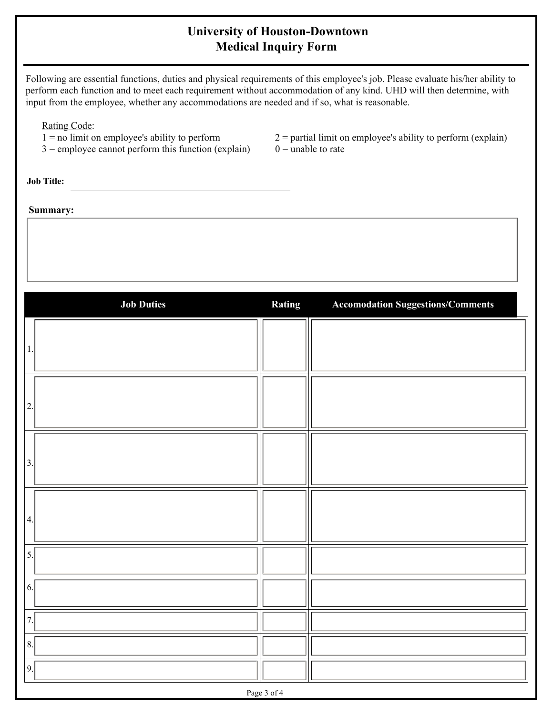## **University of Houston-Downtown Medical Inquiry Form**

Following are essential functions, duties and physical requirements of this employee's job. Please evaluate his/her ability to perform each function and to meet each requirement without accommodation of any kind. UHD will then determine, with input from the employee, whether any accommodations are needed and if so, what is reasonable.

Rating Code:

- 
- $3 =$  employee cannot perform this function (explain)

1 = no limit on employee's ability to perform  $2 =$  partial limit on employee's ability to perform (explain)<br>3 = employee cannot perform this function (explain)  $0 =$  unable to rate

**Job Title:**

**Summary:**

| <b>Job Duties</b> | Rating | <b>Accomodation Suggestions/Comments</b> |  |  |  |
|-------------------|--------|------------------------------------------|--|--|--|
| 1.                |        |                                          |  |  |  |
| 2.                |        |                                          |  |  |  |
| 3.                |        |                                          |  |  |  |
| 4.                |        |                                          |  |  |  |
| 5.                |        |                                          |  |  |  |
| 6.                |        |                                          |  |  |  |
| 7.                |        |                                          |  |  |  |
| 8.                |        |                                          |  |  |  |
| 9.                |        |                                          |  |  |  |
| Page 3 of 4       |        |                                          |  |  |  |